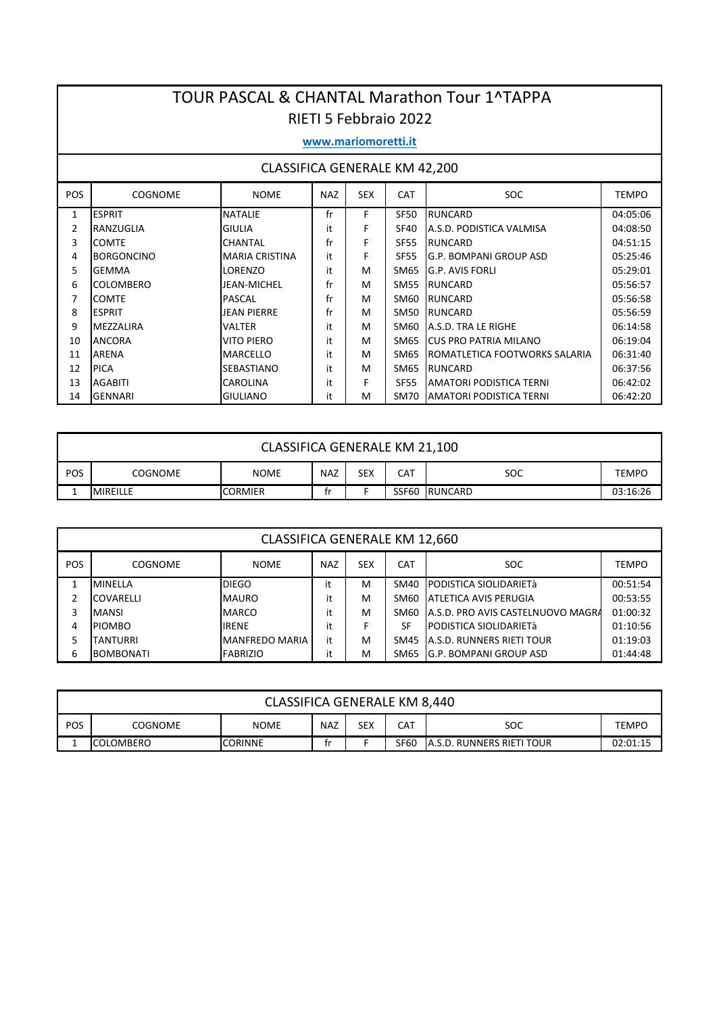|     | <b>TOUR PASCAL &amp; CHANTAL Marathon Tour 1^TAPPA</b><br><b>RIETI 5 Febbraio 2022</b>         |                       |    |    |             |                                |          |  |  |  |  |  |  |
|-----|------------------------------------------------------------------------------------------------|-----------------------|----|----|-------------|--------------------------------|----------|--|--|--|--|--|--|
|     | www.mariomoretti.it                                                                            |                       |    |    |             |                                |          |  |  |  |  |  |  |
|     | CLASSIFICA GENERALE KM 42,200                                                                  |                       |    |    |             |                                |          |  |  |  |  |  |  |
| POS | <b>COGNOME</b><br><b>NOME</b><br><b>NAZ</b><br><b>SEX</b><br>CAT<br><b>SOC</b><br><b>TEMPO</b> |                       |    |    |             |                                |          |  |  |  |  |  |  |
| 1   | <b>ESPRIT</b>                                                                                  | <b>NATALIE</b>        | fr | F. | SF50        | <b>RUNCARD</b>                 | 04:05:06 |  |  |  |  |  |  |
| 2   | RANZUGLIA                                                                                      | <b>GIULIA</b>         | it | F  | <b>SF40</b> | A.S.D. PODISTICA VALMISA       | 04:08:50 |  |  |  |  |  |  |
| 3   | <b>COMTE</b>                                                                                   | <b>CHANTAL</b>        | fr | F  | <b>SF55</b> | <b>RUNCARD</b>                 | 04:51:15 |  |  |  |  |  |  |
| 4   | <b>BORGONCINO</b>                                                                              | <b>MARIA CRISTINA</b> | it | F  | <b>SF55</b> | G.P. BOMPANI GROUP ASD         | 05:25:46 |  |  |  |  |  |  |
| 5   | <b>GEMMA</b>                                                                                   | LORENZO               | it | M  | SM65        | G.P. AVIS FORLI                | 05:29:01 |  |  |  |  |  |  |
| 6   | <b>COLOMBERO</b>                                                                               | JEAN-MICHEL           | fr | м  | <b>SM55</b> | <b>RUNCARD</b>                 | 05:56:57 |  |  |  |  |  |  |
| 7   | <b>COMTE</b>                                                                                   | <b>PASCAL</b>         | fr | м  | SM60        | <b>RUNCARD</b>                 | 05:56:58 |  |  |  |  |  |  |
| 8   | <b>ESPRIT</b>                                                                                  | <b>JEAN PIERRE</b>    | fr | м  | SM50        | <b>RUNCARD</b>                 | 05:56:59 |  |  |  |  |  |  |
| 9   | <b>MEZZALIRA</b>                                                                               | VALTER                | it | м  | SM60        | A.S.D. TRA LE RIGHE            | 06:14:58 |  |  |  |  |  |  |
| 10  | <b>ANCORA</b>                                                                                  | <b>VITO PIERO</b>     | it | м  | SM65        | <b>CUS PRO PATRIA MILANO</b>   | 06:19:04 |  |  |  |  |  |  |
| 11  | <b>ARENA</b>                                                                                   | <b>MARCELLO</b>       | it | м  | SM65        | ROMATLETICA FOOTWORKS SALARIA  | 06:31:40 |  |  |  |  |  |  |
| 12  | <b>PICA</b>                                                                                    | <b>SEBASTIANO</b>     | it | M  | <b>SM65</b> | <b>RUNCARD</b>                 | 06:37:56 |  |  |  |  |  |  |
| 13  | <b>AGABITI</b>                                                                                 | <b>CAROLINA</b>       | it | F  | <b>SF55</b> | <b>AMATORI PODISTICA TERNI</b> | 06:42:02 |  |  |  |  |  |  |
| 14  | <b>GENNARI</b>                                                                                 | <b>GIULIANO</b>       | it | м  | SM70        | <b>AMATORI PODISTICA TERNI</b> | 06:42:20 |  |  |  |  |  |  |

|                                                                                                | CLASSIFICA GENERALE KM 21,100                                     |  |  |  |  |  |  |  |  |  |  |  |
|------------------------------------------------------------------------------------------------|-------------------------------------------------------------------|--|--|--|--|--|--|--|--|--|--|--|
| POS<br><b>SEX</b><br><b>SOC</b><br><b>NAZ</b><br>CAT<br>COGNOME<br><b>NOME</b><br><b>TEMPO</b> |                                                                   |  |  |  |  |  |  |  |  |  |  |  |
|                                                                                                | SSF60<br>RUNCARD<br><b>MIREILLE</b><br>03:16:26<br><b>CORMIER</b> |  |  |  |  |  |  |  |  |  |  |  |

|            | <b>CLASSIFICA GENERALE KM 12,660</b>                             |                 |    |   |      |                                   |          |  |  |  |  |  |  |
|------------|------------------------------------------------------------------|-----------------|----|---|------|-----------------------------------|----------|--|--|--|--|--|--|
| <b>POS</b> | <b>SEX</b><br>NAZ<br><b>CAT</b><br>SOC<br>COGNOME<br><b>NOME</b> |                 |    |   |      |                                   |          |  |  |  |  |  |  |
|            | <b>MINELLA</b>                                                   | <b>DIEGO</b>    | it | м | SM40 | IPODISTICA SIOLIDARIETà           | 00:51:54 |  |  |  |  |  |  |
| 2          | <b>COVARELLI</b>                                                 | <b>MAURO</b>    | it | м | SM60 | IATLETICA AVIS PERUGIA            | 00:53:55 |  |  |  |  |  |  |
|            | <b>MANSI</b>                                                     | <b>MARCO</b>    | it | м | SM60 | A.S.D. PRO AVIS CASTELNUOVO MAGRA | 01:00:32 |  |  |  |  |  |  |
| 4          | <b>PIOMBO</b>                                                    | <b>IRENE</b>    | it |   | SF   | <b>PODISTICA SIOLIDARIETà</b>     | 01:10:56 |  |  |  |  |  |  |
|            | <b>TANTURRI</b>                                                  | MANFREDO MARIA  | it | м | SM45 | <b>A.S.D. RUNNERS RIETI TOUR</b>  | 01:19:03 |  |  |  |  |  |  |
| 6          | <b>BOMBONATI</b>                                                 | <b>FABRIZIO</b> | it | M | SM65 | lG.P. BOMPANI GROUP ASD           | 01:44:48 |  |  |  |  |  |  |

|            | CLASSIFICA GENERALE KM 8,440                                                                |  |  |  |  |  |  |  |  |  |  |
|------------|---------------------------------------------------------------------------------------------|--|--|--|--|--|--|--|--|--|--|
| <b>POS</b> | SEX<br>SOC<br>NAZ<br><b>NOME</b><br>COGNOME<br>CAT<br><b>TEMPO</b>                          |  |  |  |  |  |  |  |  |  |  |
|            | SF60<br><b>JA.S.D. RUNNERS RIETI TOUR</b><br>02:01:15<br><b>CORINNE</b><br><b>COLOMBERO</b> |  |  |  |  |  |  |  |  |  |  |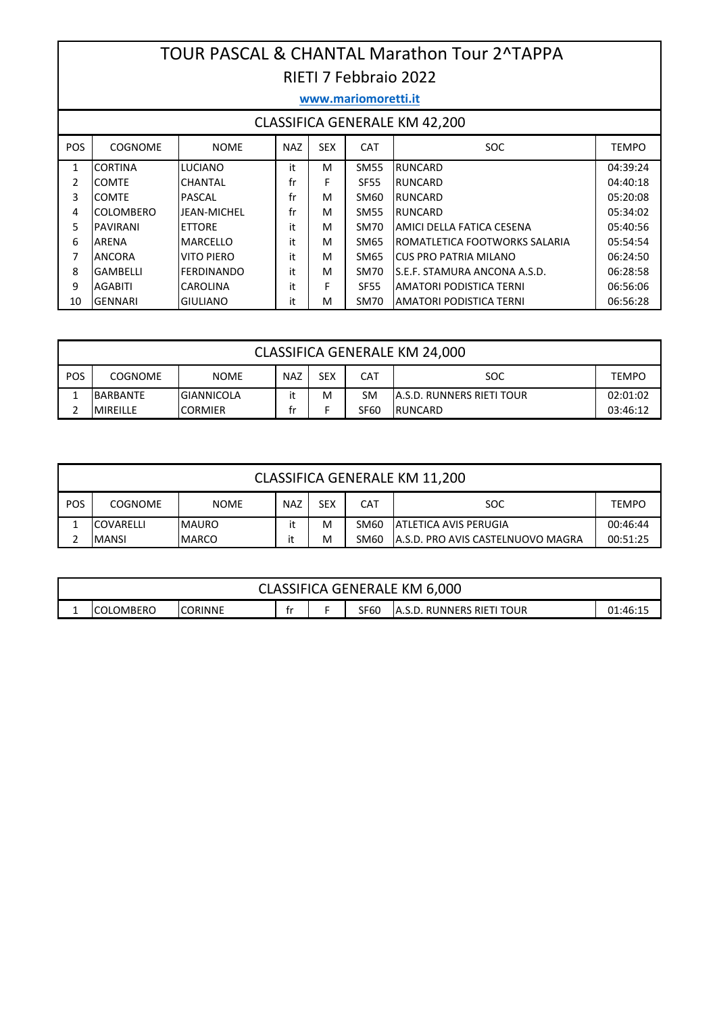### TOUR PASCAL & CHANTAL Marathon Tour 2^TAPPA RIETI 7 Febbraio 2022

|                                      | www.mariomoretti.it |                    |            |            |             |                               |              |  |  |  |  |  |  |
|--------------------------------------|---------------------|--------------------|------------|------------|-------------|-------------------------------|--------------|--|--|--|--|--|--|
| <b>CLASSIFICA GENERALE KM 42,200</b> |                     |                    |            |            |             |                               |              |  |  |  |  |  |  |
| <b>POS</b>                           | <b>COGNOME</b>      | <b>NOME</b>        | <b>NAZ</b> | <b>SEX</b> | <b>CAT</b>  | <b>SOC</b>                    | <b>TEMPO</b> |  |  |  |  |  |  |
| $\mathbf{1}$                         | <b>CORTINA</b>      | <b>LUCIANO</b>     | it         | м          | <b>SM55</b> | <b>RUNCARD</b>                | 04:39:24     |  |  |  |  |  |  |
| 2                                    | <b>COMTE</b>        | <b>CHANTAL</b>     | fr         | F          | SF55        | <b>RUNCARD</b>                | 04:40:18     |  |  |  |  |  |  |
| 3                                    | <b>COMTE</b>        | PASCAL             | fr         | м          | SM60        | RUNCARD                       | 05:20:08     |  |  |  |  |  |  |
| 4                                    | COLOMBERO           | <b>JEAN-MICHEL</b> | fr         | M          | <b>SM55</b> | RUNCARD                       | 05:34:02     |  |  |  |  |  |  |
| 5                                    | <b>PAVIRANI</b>     | <b>ETTORE</b>      | it         | м          | SM70        | AMICI DELLA FATICA CESENA     | 05:40:56     |  |  |  |  |  |  |
| 6                                    | ARENA               | MARCELLO           | it         | M          | SM65        | ROMATLETICA FOOTWORKS SALARIA | 05:54:54     |  |  |  |  |  |  |
| 7                                    | <b>ANCORA</b>       | VITO PIERO         | it         | M          | SM65        | ICUS PRO PATRIA MILANO        | 06:24:50     |  |  |  |  |  |  |
| 8                                    | <b>GAMBELLI</b>     | <b>FERDINANDO</b>  | it         | M          | SM70        | S.E.F. STAMURA ANCONA A.S.D.  | 06:28:58     |  |  |  |  |  |  |
| 9                                    | <b>AGABITI</b>      | <b>CAROLINA</b>    | it         | F          | <b>SF55</b> | AMATORI PODISTICA TERNI       | 06:56:06     |  |  |  |  |  |  |
| 10                                   | <b>GENNARI</b>      | <b>GIULIANO</b>    | it         | M          | SM70        | IAMATORI PODISTICA TERNI      | 06:56:28     |  |  |  |  |  |  |

|     | CLASSIFICA GENERALE KM 24,000                                                           |                   |  |   |    |                                   |          |  |  |  |  |  |
|-----|-----------------------------------------------------------------------------------------|-------------------|--|---|----|-----------------------------------|----------|--|--|--|--|--|
| POS | SEX<br><b>SOC</b><br><b>NAZ</b><br><b>COGNOME</b><br><b>NOME</b><br>CAT<br><b>TEMPO</b> |                   |  |   |    |                                   |          |  |  |  |  |  |
|     | BARBANTE                                                                                | <b>GIANNICOLA</b> |  | м | SM | <b>JA.S.D. RUNNERS RIETI TOUR</b> | 02:01:02 |  |  |  |  |  |
| ำ   | <b>IRUNCARD</b><br><b>SF60</b><br><b>MIREILLE</b><br>ICORMIER<br>03:46:12               |                   |  |   |    |                                   |          |  |  |  |  |  |

|            | CLASSIFICA GENERALE KM 11,200                                                                  |              |  |   |      |                                    |          |  |  |  |  |  |
|------------|------------------------------------------------------------------------------------------------|--------------|--|---|------|------------------------------------|----------|--|--|--|--|--|
| <b>POS</b> | <b>SEX</b><br><b>SOC</b><br><b>NAZ</b><br>CAT<br><b>COGNOME</b><br><b>NOME</b><br><b>TEMPO</b> |              |  |   |      |                                    |          |  |  |  |  |  |
|            | M<br>SM60<br><b>JATLETICA AVIS PERUGIA</b><br>00:46:44<br><b>COVARELLI</b><br><b>IMAURO</b>    |              |  |   |      |                                    |          |  |  |  |  |  |
|            | <b>MANSI</b>                                                                                   | <b>MARCO</b> |  | м | SM60 | IA.S.D. PRO AVIS CASTELNUOVO MAGRA | 00:51:25 |  |  |  |  |  |

|                                                                                               | <b>CLASSIFICA GENERALE KM 6,000</b> |  |  |  |  |  |  |  |  |  |  |
|-----------------------------------------------------------------------------------------------|-------------------------------------|--|--|--|--|--|--|--|--|--|--|
| <b>ICORINNE</b><br><b>SF60</b><br>IA.S.D. RUNNERS RIETI TOUR<br>ICOLOMBERO<br>01:46:15<br>. . |                                     |  |  |  |  |  |  |  |  |  |  |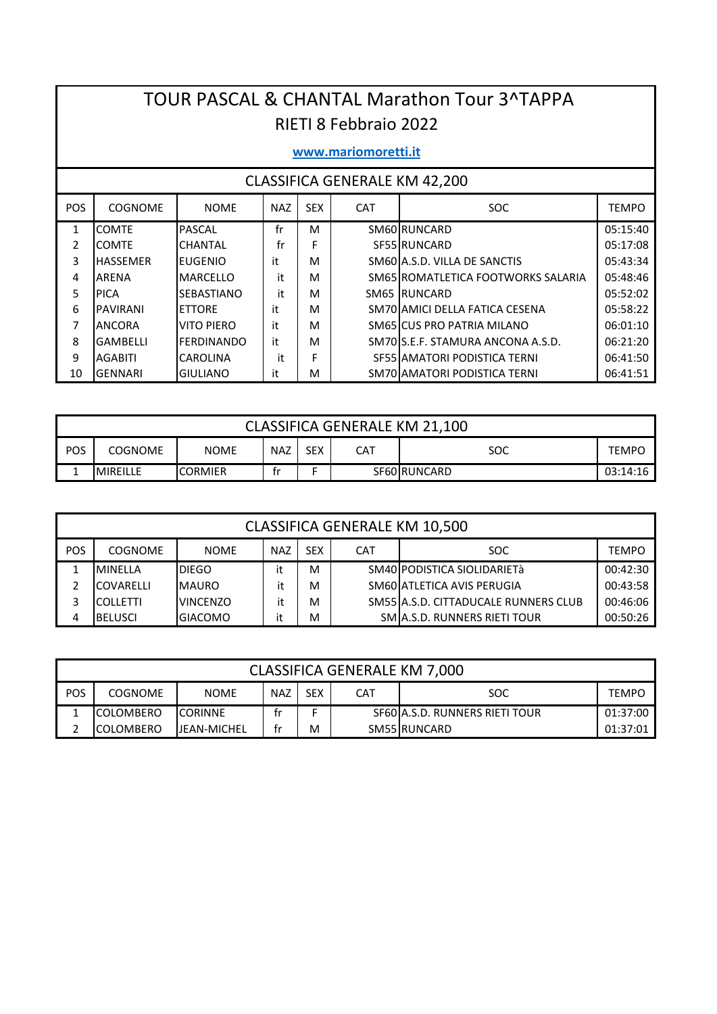## TOUR PASCAL & CHANTAL Marathon Tour 3^TAPPA RIETI 8 Febbraio 2022

#### www.mariomoretti.it

| POS | <b>COGNOME</b>  | <b>NOME</b>       | <b>NAZ</b> | <b>SEX</b> | <b>CAT</b> | <b>SOC</b>                         | <b>TEMPO</b> |
|-----|-----------------|-------------------|------------|------------|------------|------------------------------------|--------------|
| 1   | <b>COMTE</b>    | <b>PASCAL</b>     | fr         | м          |            | SM60 RUNCARD                       | 05:15:40     |
|     | <b>COMTE</b>    | <b>CHANTAL</b>    | fr         | F          |            | SF55 RUNCARD                       | 05:17:08     |
| 3   | <b>HASSEMER</b> | <b>EUGENIO</b>    | it         | м          |            | SM60 A.S.D. VILLA DE SANCTIS       | 05:43:34     |
| 4   | <b>IARFNA</b>   | <b>MARCELLO</b>   | it         | м          |            | SM65 ROMATLETICA FOOTWORKS SALARIA | 05:48:46     |
| 5   | <b>PICA</b>     | <b>SEBASTIANO</b> | it         | м          |            | <b>SM65 IRUNCARD</b>               | 05:52:02     |
| 6   | <b>PAVIRANI</b> | <b>ETTORE</b>     | it         | M          |            | SM70 AMICI DELLA FATICA CESENA     | 05:58:22     |
|     | <b>ANCORA</b>   | VITO PIFRO        | it         | м          |            | SM65 CUS PRO PATRIA MILANO         | 06:01:10     |
| 8   | <b>GAMBELLI</b> | <b>FFRDINANDO</b> | it         | м          |            | SM70LS.E.F. STAMURA ANCONA A.S.D.  | 06:21:20     |
| 9   | AGABITI         | <b>CAROLINA</b>   | it         | F          |            | SF55 AMATORI PODISTICA TERNI       | 06:41:50     |
| 10  | <b>GENNARI</b>  | IGIULIANO         | it         | м          |            | SM70 AMATORI PODISTICA TERNI       | 06:41:51     |

|     | <b>CLASSIFICA GENERALE KM 21,100</b>                                                    |  |  |  |  |  |  |  |  |  |  |  |
|-----|-----------------------------------------------------------------------------------------|--|--|--|--|--|--|--|--|--|--|--|
| POS | SEX<br>CAT<br><b>NAZ</b><br><b>NOME</b><br><b>SOC</b><br><b>COGNOME</b><br><b>TEMPO</b> |  |  |  |  |  |  |  |  |  |  |  |
| -   | <b>CORMIER</b><br>SF60 RUNCARD<br><b>MIREILLE</b><br>03:14:16                           |  |  |  |  |  |  |  |  |  |  |  |

|     | <b>CLASSIFICA GENERALE KM 10,500</b> |                 |            |            |            |                                      |              |  |  |  |  |  |
|-----|--------------------------------------|-----------------|------------|------------|------------|--------------------------------------|--------------|--|--|--|--|--|
| POS | <b>COGNOME</b>                       | <b>NOME</b>     | <b>NAZ</b> | <b>SEX</b> | <b>CAT</b> | SOC.                                 | <b>TEMPO</b> |  |  |  |  |  |
|     | <b>MINELLA</b>                       | DIEGO           |            | M          |            | SM40 PODISTICA SIOLIDARIETà          | 00:42:30     |  |  |  |  |  |
|     | <b>COVARELLI</b>                     | <b>MAURO</b>    | it         | м          |            | SM60 ATLETICA AVIS PERUGIA           | 00:43:58     |  |  |  |  |  |
|     | <b>COLLETTI</b>                      | <b>VINCENZO</b> | it         | M          |            | SM55 A.S.D. CITTADUCALE RUNNERS CLUB | 00:46:06     |  |  |  |  |  |
| 4   | <b>BELUSCI</b>                       | <b>GIACOMO</b>  |            | M          |            | SMIA.S.D. RUNNERS RIETI TOUR         | 00:50:26     |  |  |  |  |  |

|            | <b>CLASSIFICA GENERALE KM 7,000</b>                                                            |                     |    |   |  |                                |          |  |  |  |  |  |
|------------|------------------------------------------------------------------------------------------------|---------------------|----|---|--|--------------------------------|----------|--|--|--|--|--|
| <b>POS</b> | <b>SEX</b><br><b>NAZ</b><br><b>NOME</b><br><b>CAT</b><br><b>SOC</b><br><b>COGNOME</b><br>TEMPO |                     |    |   |  |                                |          |  |  |  |  |  |
| -          | <b>COLOMBERO</b>                                                                               | <b>ICORINNE</b>     | tr |   |  | SF60 A.S.D. RUNNERS RIETI TOUR | 01:37:00 |  |  |  |  |  |
|            | <b>COLOMBERO</b>                                                                               | <b>IJEAN-MICHEL</b> | tr | M |  | SM55 RUNCARD                   | 01:37:01 |  |  |  |  |  |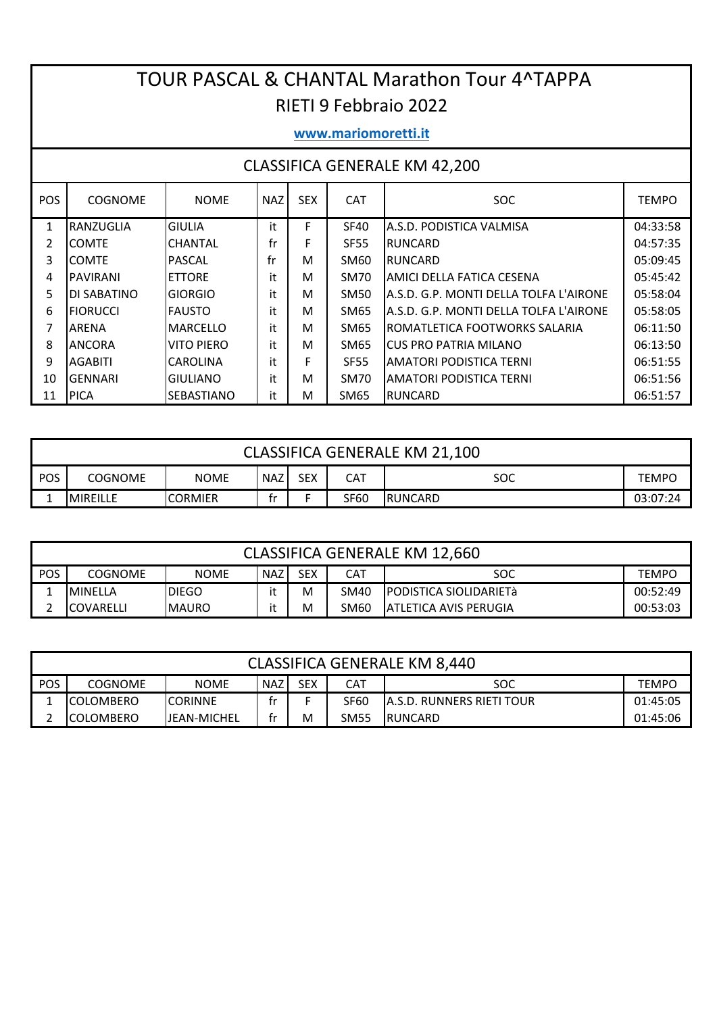## TOUR PASCAL & CHANTAL Marathon Tour 4^TAPPA RIETI 9 Febbraio 2022

#### www.mariomoretti.it

| <b>POS</b> | <b>COGNOME</b>     | <b>NOME</b>       | <b>NAZ</b> | <b>SEX</b> | <b>CAT</b>  | SOC.                                   | <b>TEMPO</b> |
|------------|--------------------|-------------------|------------|------------|-------------|----------------------------------------|--------------|
| 1          | RANZUGLIA          | IGIULIA           | it         | F          | <b>SF40</b> | A.S.D. PODISTICA VALMISA               | 04:33:58     |
| 2          | ICOMTE             | <b>CHANTAL</b>    | fr         | F          | <b>SF55</b> | RUNCARD                                | 04:57:35     |
| 3          | ICOMTE             | <b>PASCAL</b>     | fr         | м          | SM60        | <b>RUNCARD</b>                         | 05:09:45     |
| 4          | <b>PAVIRANI</b>    | <b>ETTORE</b>     | it         | м          | <b>SM70</b> | AMICI DELLA FATICA CESENA              | 05:45:42     |
| 5          | <b>DI SABATINO</b> | <b>GIORGIO</b>    | it         | м          | <b>SM50</b> | A.S.D. G.P. MONTI DELLA TOLFA L'AIRONE | 05:58:04     |
| 6          | <b>FIORUCCI</b>    | IFAUSTO           | it         | м          | SM65        | A.S.D. G.P. MONTI DFLLA TOLFA L'AIRONF | 05:58:05     |
| 7          | <b>ARENA</b>       | <b>MARCELLO</b>   | it         | м          | SM65        | ROMATLETICA FOOTWORKS SALARIA          | 06:11:50     |
| 8          | <b>ANCORA</b>      | VITO PIERO        | it         | М          | SM65        | ICUS PRO PATRIA MILANO                 | 06:13:50     |
| 9          | <b>AGABITI</b>     | <b>CAROLINA</b>   | it         | F          | <b>SE55</b> | AMATORI PODISTICA TERNI                | 06:51:55     |
| 10         | GENNARI            | IGIULIANO         | it         | М          | SM70        | AMATORI PODISTICA TERNI                | 06:51:56     |
| 11         | <b>IPICA</b>       | <b>SEBASTIANO</b> | it         | М          | <b>SM65</b> | RUNCARD                                | 06:51:57     |

|            | CLASSIFICA GENERALE KM 21,100                                                    |  |  |  |  |  |  |  |  |  |  |  |  |
|------------|----------------------------------------------------------------------------------|--|--|--|--|--|--|--|--|--|--|--|--|
| <b>POS</b> | SEX<br><b>NOME</b><br>CAT<br><b>NAZ</b><br><b>COGNOME</b><br>soc<br><b>TEMPO</b> |  |  |  |  |  |  |  |  |  |  |  |  |
|            | SF60<br><b>IRUNCARD</b><br><b>CORMIER</b><br>03:07:24<br><b>IMIREILLE</b><br>÷r. |  |  |  |  |  |  |  |  |  |  |  |  |

|     | <b>CLASSIFICA GENERALE KM 12,660</b>                                                        |              |  |   |      |                                |          |  |  |  |  |  |  |
|-----|---------------------------------------------------------------------------------------------|--------------|--|---|------|--------------------------------|----------|--|--|--|--|--|--|
| POS | SEX<br>NAZ<br><b>NOME</b><br>CAT<br>SOC<br><b>TEMPO</b><br><b>COGNOME</b>                   |              |  |   |      |                                |          |  |  |  |  |  |  |
|     | IMINFLLA                                                                                    | <b>DIEGO</b> |  | м | SM40 | <b>IPODISTICA SIOLIDARIETà</b> | 00:52:49 |  |  |  |  |  |  |
|     | <b>JATLETICA AVIS PERUGIA</b><br><b>IMAURO</b><br>M<br>SM60<br><b>COVARELLI</b><br>00:53:03 |              |  |   |      |                                |          |  |  |  |  |  |  |

|            | <b>CLASSIFICA GENERALE KM 8,440</b>                                                     |                     |    |   |             |                                   |          |  |  |  |  |  |  |
|------------|-----------------------------------------------------------------------------------------|---------------------|----|---|-------------|-----------------------------------|----------|--|--|--|--|--|--|
| <b>POS</b> | <b>SEX</b><br><b>NAZ</b><br><b>NOME</b><br>CAT<br>soc<br><b>COGNOME</b><br><b>TEMPO</b> |                     |    |   |             |                                   |          |  |  |  |  |  |  |
|            | <b>ICOLOMBERO</b>                                                                       | ICORINNE            | ÷۳ |   | <b>SF60</b> | <b>JA.S.D. RUNNERS RIETI TOUR</b> | 01:45:05 |  |  |  |  |  |  |
|            | <b>ICOLOMBERO</b>                                                                       | <b>IJEAN-MICHEL</b> | ÷۳ | M | SM55        | <b>IRUNCARD</b>                   | 01:45:06 |  |  |  |  |  |  |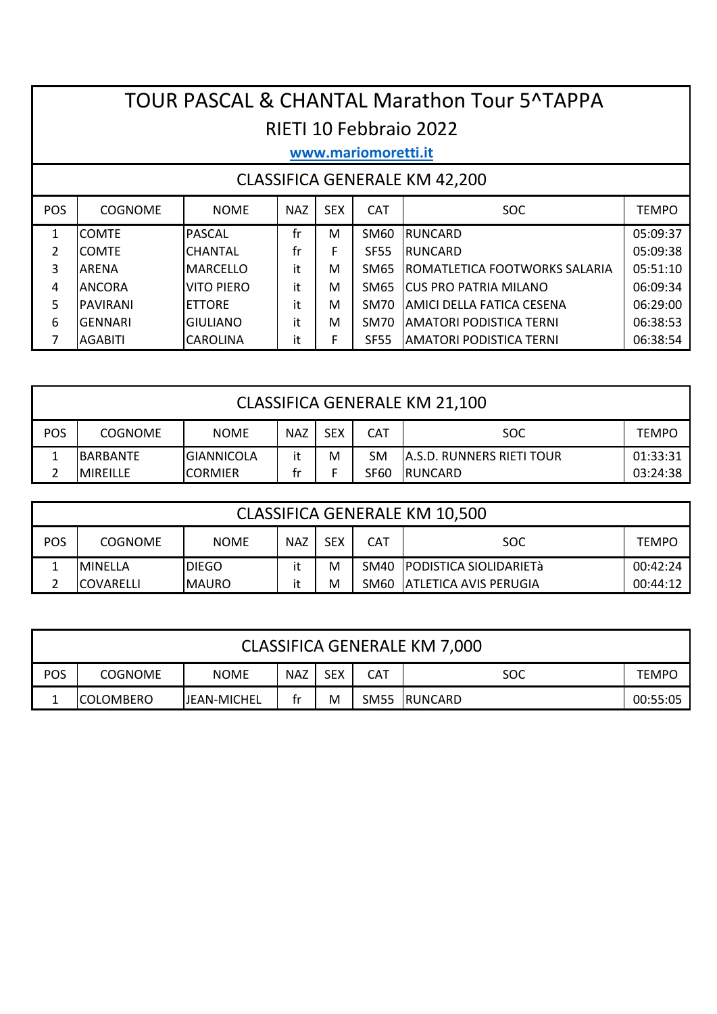# TOUR PASCAL & CHANTAL Marathon Tour 5^TAPPA RIETI 10 Febbraio 2022

## www.mariomoretti.it

| <b>POS</b> | <b>COGNOME</b>   | <b>NOME</b>     | <b>NAZ</b> | <b>SEX</b> | <b>CAT</b>  | SOC.                                  | <b>TEMPO</b> |
|------------|------------------|-----------------|------------|------------|-------------|---------------------------------------|--------------|
|            | <b>COMTE</b>     | <b>PASCAL</b>   | fr         | M          | SM60        | <b>IRUNCARD</b>                       | 05:09:37     |
| 2          | <b>COMTE</b>     | <b>CHANTAL</b>  | fr         | F          | <b>SF55</b> | <b>IRUNCARD</b>                       | 05:09:38     |
| 3          | <b>ARENA</b>     | <b>MARCELLO</b> | it         | M          | SM65        | <b>IROMATLETICA FOOTWORKS SALARIA</b> | 05:51:10     |
| 4          | <b>ANCORA</b>    | VITO PIERO      | it         | м          | SM65        | <b>ICUS PRO PATRIA MILANO</b>         | 06:09:34     |
| 5          | <b>IPAVIRANI</b> | <b>IETTORE</b>  | it         | м          | <b>SM70</b> | IAMICI DELLA FATICA CESENA            | 06:29:00     |
| 6          | <b>GENNARI</b>   | <b>GIULIANO</b> | it         | M          | <b>SM70</b> | IAMATORI PODISTICA TERNI              | 06:38:53     |
|            | <b>AGABITI</b>   | <b>CAROLINA</b> | i+         | F          | <b>SF55</b> | <b>AMATORI PODISTICA TERNI</b>        | 06:38:54     |

|     | <b>CLASSIFICA GENERALE KM 21,100</b>                                                                  |                   |    |   |             |                                  |          |  |  |  |  |  |  |
|-----|-------------------------------------------------------------------------------------------------------|-------------------|----|---|-------------|----------------------------------|----------|--|--|--|--|--|--|
| POS | <b>SEX</b><br><b>CAT</b><br><b>NAZ</b><br><b>SOC</b><br><b>NOME</b><br><b>COGNOME</b><br><b>TEMPO</b> |                   |    |   |             |                                  |          |  |  |  |  |  |  |
|     | <b>BARBANTE</b>                                                                                       | <b>GIANNICOLA</b> | it | M | <b>SM</b>   | <b>A.S.D. RUNNERS RIETI TOUR</b> | 01:33:31 |  |  |  |  |  |  |
|     | <b>MIREILLE</b>                                                                                       | ICORMIER          | fr |   | <b>SF60</b> | RUNCARD                          | 03:24:38 |  |  |  |  |  |  |

|     | <b>CLASSIFICA GENERALE KM 10,500</b>                                                                  |               |    |   |      |                              |          |  |  |  |  |  |  |
|-----|-------------------------------------------------------------------------------------------------------|---------------|----|---|------|------------------------------|----------|--|--|--|--|--|--|
| POS | <b>SEX</b><br><b>CAT</b><br><b>NAZ</b><br><b>SOC</b><br><b>NOME</b><br><b>COGNOME</b><br><b>TEMPO</b> |               |    |   |      |                              |          |  |  |  |  |  |  |
|     | <b>MINFLLA</b>                                                                                        | <b>IDIEGO</b> |    | M |      | SM40 PODISTICA SIOLIDARIETà  | 00:42:24 |  |  |  |  |  |  |
|     | <b>COVARELLI</b>                                                                                      | <b>IMAURO</b> | it | м | SM60 | <b>ATLETICA AVIS PERUGIA</b> | 00:44:12 |  |  |  |  |  |  |

|     | CLASSIFICA GENERALE KM 7,000                                                                          |  |  |  |  |  |  |  |  |  |  |  |
|-----|-------------------------------------------------------------------------------------------------------|--|--|--|--|--|--|--|--|--|--|--|
| POS | <b>SEX</b><br><b>CAT</b><br><b>COGNOME</b><br><b>NOME</b><br><b>NAZ</b><br><b>SOC</b><br><b>TEMPO</b> |  |  |  |  |  |  |  |  |  |  |  |
|     | M<br>SM55<br><b>RUNCARD</b><br><b>JEAN-MICHEL</b><br><b>COLOMBERO</b><br>00:55:05<br>tr               |  |  |  |  |  |  |  |  |  |  |  |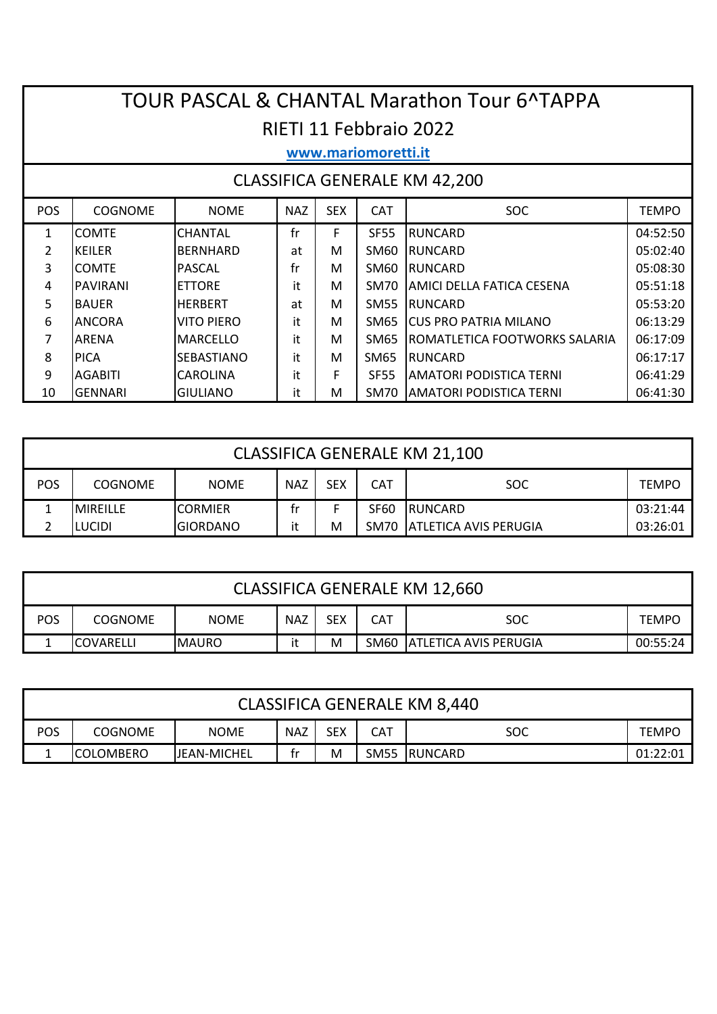# TOUR PASCAL & CHANTAL Marathon Tour 6^TAPPA RIETI 11 Febbraio 2022

### **www.mariomoretti.it**

| <b>POS</b> | <b>COGNOME</b>  | <b>NOME</b>       | <b>NAZ</b> | <b>SEX</b> | <b>CAT</b>  | <b>SOC</b>                            | <b>TEMPO</b> |
|------------|-----------------|-------------------|------------|------------|-------------|---------------------------------------|--------------|
| 1          | <b>COMTE</b>    | <b>CHANTAL</b>    | fr         | F          | <b>SF55</b> | <b>RUNCARD</b>                        | 04:52:50     |
|            | IKEILER         | BERNHARD          | at         | м          | SM60        | <b>IRUNCARD</b>                       | 05:02:40     |
| 3          | <b>COMTE</b>    | <b>PASCAL</b>     | fr         | м          | SM60        | <b>IRUNCARD</b>                       | 05:08:30     |
| 4          | <b>PAVIRANI</b> | <b>ETTORE</b>     | it         | М          | SM70        | IAMICI DELLA FATICA CESENA            | 05:51:18     |
| 5.         | <b>BAUFR</b>    | <b>HERBERT</b>    | at         | м          | <b>SM55</b> | <b>IRUNCARD</b>                       | 05:53:20     |
| 6          | <b>ANCORA</b>   | VITO PIERO        | it         | м          | SM65        | <b>ICUS PRO PATRIA MILANO</b>         | 06:13:29     |
|            | <b>ARFNA</b>    | IMARCFLLO         | it         | м          | SM65        | <b>IROMATLETICA FOOTWORKS SALARIA</b> | 06:17:09     |
| 8          | <b>PICA</b>     | <b>SEBASTIANO</b> | it         | м          | SM65        | <b>IRUNCARD</b>                       | 06:17:17     |
| 9          | <b>AGABITI</b>  | <b>CAROLINA</b>   | it         | F          | <b>SF55</b> | IAMATORI PODISTICA TERNI              | 06:41:29     |
| 10         | <b>GENNARI</b>  | <b>GIULIANO</b>   | it         | м          | <b>SM70</b> | IAMATORI PODISTICA TERNI              | 06:41:30     |

|            | <b>CLASSIFICA GENERALE KM 21,100</b>                                                                  |                 |    |   |      |                            |          |  |  |  |  |  |  |
|------------|-------------------------------------------------------------------------------------------------------|-----------------|----|---|------|----------------------------|----------|--|--|--|--|--|--|
| <b>POS</b> | <b>CAT</b><br><b>SEX</b><br><b>NAZ</b><br><b>SOC</b><br><b>COGNOME</b><br><b>NOME</b><br><b>TEMPO</b> |                 |    |   |      |                            |          |  |  |  |  |  |  |
|            | <b>MIRFILLF</b>                                                                                       | <b>CORMIER</b>  | tr |   | SF60 | RUNCARD                    | 03:21:44 |  |  |  |  |  |  |
|            | ILUCIDI                                                                                               | <b>GIORDANO</b> | it | M |      | SM70 ATLETICA AVIS PERUGIA | 03:26:01 |  |  |  |  |  |  |

|     | <b>CLASSIFICA GENERALE KM 12,660</b>                                                           |  |  |  |  |  |  |  |  |  |  |  |  |
|-----|------------------------------------------------------------------------------------------------|--|--|--|--|--|--|--|--|--|--|--|--|
| POS | CAT<br><b>SEX</b><br><b>NAZ</b><br><b>NOME</b><br><b>SOC</b><br><b>COGNOME</b><br><b>TEMPO</b> |  |  |  |  |  |  |  |  |  |  |  |  |
|     | <b>ATLETICA AVIS PERUGIA</b><br>SM60<br>M<br><b>COVARELLI</b><br><b>IMAURO</b><br>00:55:24     |  |  |  |  |  |  |  |  |  |  |  |  |

|                                                                                                       | <b>CLASSIFICA GENERALE KM 8,440</b>                                                |  |  |  |  |  |  |  |  |  |  |  |
|-------------------------------------------------------------------------------------------------------|------------------------------------------------------------------------------------|--|--|--|--|--|--|--|--|--|--|--|
| <b>POS</b><br>SEX<br>CAT<br><b>NAZ</b><br><b>SOC</b><br><b>NOME</b><br><b>COGNOME</b><br><b>TEMPO</b> |                                                                                    |  |  |  |  |  |  |  |  |  |  |  |
|                                                                                                       | M<br>SM55<br><b>COLOMBERO</b><br>IRUNCARD<br><b>IJEAN-MICHEL</b><br>01:22:01<br>tr |  |  |  |  |  |  |  |  |  |  |  |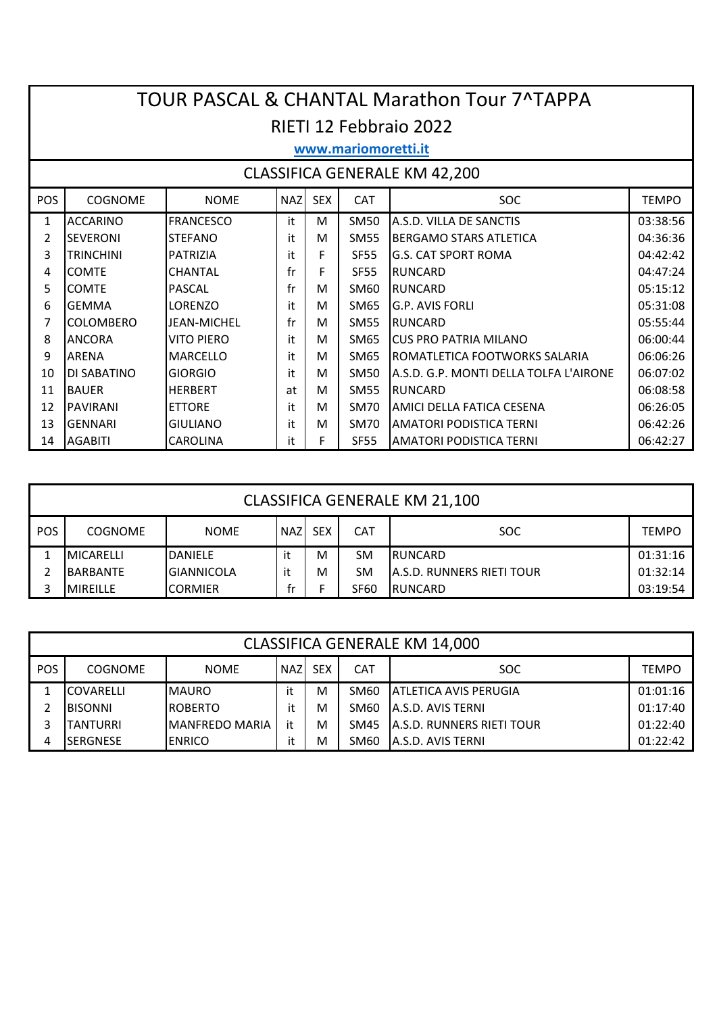|                                                                                                              | <b>TOUR PASCAL &amp; CHANTAL Marathon Tour 7^TAPPA</b> |                    |    |   |                  |                                        |          |  |  |  |  |  |
|--------------------------------------------------------------------------------------------------------------|--------------------------------------------------------|--------------------|----|---|------------------|----------------------------------------|----------|--|--|--|--|--|
|                                                                                                              | RIETI 12 Febbraio 2022                                 |                    |    |   |                  |                                        |          |  |  |  |  |  |
|                                                                                                              | www.mariomoretti.it                                    |                    |    |   |                  |                                        |          |  |  |  |  |  |
|                                                                                                              | <b>CLASSIFICA GENERALE KM 42,200</b>                   |                    |    |   |                  |                                        |          |  |  |  |  |  |
| POS<br><b>COGNOME</b><br><b>SEX</b><br><b>NAZ</b><br><b>CAT</b><br><b>SOC</b><br><b>TEMPO</b><br><b>NOME</b> |                                                        |                    |    |   |                  |                                        |          |  |  |  |  |  |
| 1                                                                                                            | <b>ACCARINO</b>                                        | <b>FRANCESCO</b>   | it | М | SM50             | A.S.D. VILLA DE SANCTIS                | 03:38:56 |  |  |  |  |  |
| 2                                                                                                            | <b>SEVERONI</b>                                        | <b>STEFANO</b>     | it | м | SM55             | <b>BERGAMO STARS ATLETICA</b>          | 04:36:36 |  |  |  |  |  |
| 3                                                                                                            | <b>TRINCHINI</b>                                       | <b>PATRIZIA</b>    | it | F | <b>SF55</b>      | <b>G.S. CAT SPORT ROMA</b>             | 04:42:42 |  |  |  |  |  |
| 4                                                                                                            | <b>COMTE</b>                                           | <b>CHANTAL</b>     | fr | F | <b>SF55</b>      | <b>RUNCARD</b>                         | 04:47:24 |  |  |  |  |  |
| 5                                                                                                            | <b>COMTE</b>                                           | <b>PASCAL</b>      | fr | м | SM60             | <b>RUNCARD</b>                         | 05:15:12 |  |  |  |  |  |
| 6                                                                                                            | <b>GEMMA</b>                                           | LORENZO            | it | м | SM65             | lG.P. AVIS FORLI                       | 05:31:08 |  |  |  |  |  |
| 7                                                                                                            | <b>COLOMBERO</b>                                       | <b>JFAN-MICHFL</b> | fr | м | SM <sub>55</sub> | <b>RUNCARD</b>                         | 05:55:44 |  |  |  |  |  |
| 8                                                                                                            | <b>ANCORA</b>                                          | <b>VITO PIERO</b>  | it | М | SM65             | <b>CUS PRO PATRIA MILANO</b>           | 06:00:44 |  |  |  |  |  |
| 9                                                                                                            | <b>ARENA</b>                                           | <b>MARCELLO</b>    | it | м | SM65             | IROMATLETICA FOOTWORKS SALARIA         | 06:06:26 |  |  |  |  |  |
| 10                                                                                                           | <b>DI SABATINO</b>                                     | <b>GIORGIO</b>     | it | м | SM50             | A.S.D. G.P. MONTI DELLA TOLFA L'AIRONE | 06:07:02 |  |  |  |  |  |
| 11                                                                                                           | <b>BAUER</b>                                           | <b>HFRBFRT</b>     | at | м | <b>SM55</b>      | <b>RUNCARD</b>                         | 06:08:58 |  |  |  |  |  |
| 12                                                                                                           | <b>PAVIRANI</b>                                        | <b>ETTORE</b>      | it | M | <b>SM70</b>      | AMICI DELLA FATICA CESENA              | 06:26:05 |  |  |  |  |  |
| 13                                                                                                           | <b>GENNARI</b>                                         | <b>GIULIANO</b>    | it | M | SM70             | IAMATORI PODISTICA TERNI               | 06:42:26 |  |  |  |  |  |
| 14                                                                                                           | <b>AGABITI</b>                                         | <b>CAROLINA</b>    | it | F | <b>SF55</b>      | <b>AMATORI PODISTICA TERNI</b>         | 06:42:27 |  |  |  |  |  |

| <b>CLASSIFICA GENERALE KM 21,100</b>                                                                    |                   |                   |    |   |             |                                   |          |  |  |  |
|---------------------------------------------------------------------------------------------------------|-------------------|-------------------|----|---|-------------|-----------------------------------|----------|--|--|--|
| I POS<br><b>SEX</b><br><b>NAZ</b><br><b>CAT</b><br><b>SOC</b><br>COGNOME<br><b>NOME</b><br><b>TEMPO</b> |                   |                   |    |   |             |                                   |          |  |  |  |
|                                                                                                         | <b>IMICARELLI</b> | DANIELE           | it | M | <b>SM</b>   | <b>IRUNCARD</b>                   | 01:31:16 |  |  |  |
| 2                                                                                                       | <b>BARBANTE</b>   | <b>GIANNICOLA</b> | it | M | SM          | <b>JA.S.D. RUNNERS RIETI TOUR</b> | 01:32:14 |  |  |  |
|                                                                                                         | <b>IMIREILLE</b>  | <b>CORMIER</b>    | tr |   | <b>SF60</b> | <b>RUNCARD</b>                    | 03:19:54 |  |  |  |

| <b>CLASSIFICA GENERALE KM 14,000</b> |                  |                        |        |            |            |                                   |              |  |  |
|--------------------------------------|------------------|------------------------|--------|------------|------------|-----------------------------------|--------------|--|--|
| <b>POS</b>                           | <b>COGNOME</b>   | <b>NOME</b>            | I NAZI | <b>SEX</b> | <b>CAT</b> | <b>SOC</b>                        | <b>TEMPO</b> |  |  |
|                                      | <b>COVARELLI</b> | <b>MAURO</b>           | it     | M          | SM60       | <b>ATLETICA AVIS PERUGIA</b>      | 01:01:16     |  |  |
| 2                                    | <b>BISONNI</b>   | <b>ROBERTO</b>         | it     | м          | SM60       | <b>JA.S.D. AVIS TERNI</b>         | 01:17:40     |  |  |
|                                      | TANTURRI         | <b>IMANFREDO MARIA</b> | it     | м          | SM45       | <b>JA.S.D. RUNNERS RIETI TOUR</b> | 01:22:40     |  |  |
| 4                                    | ISERGNESE        | <b>ENRICO</b>          | it     | M          | SM60       | <b>JA.S.D. AVIS TERNI</b>         | 01:22:42     |  |  |